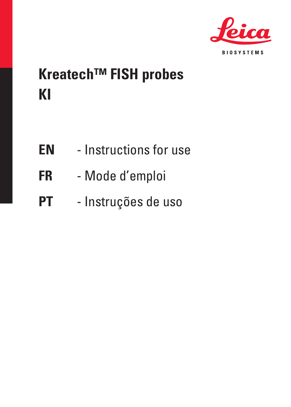

# **Kreatech™ FISH probes KI**

- **EN** Instructions for use
- **FR** Mode d'emploi
- **PT** Instruções de uso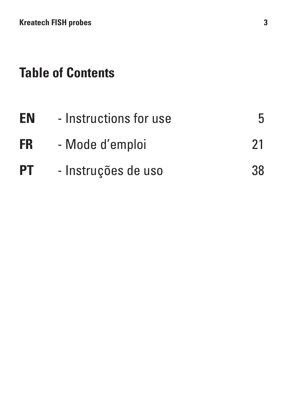# **Table of Contents**

| EN        | - Instructions for use | 5  |
|-----------|------------------------|----|
| <b>FR</b> | - Mode d'emploi        | 21 |
| <b>PT</b> | - Instruções de uso    | 38 |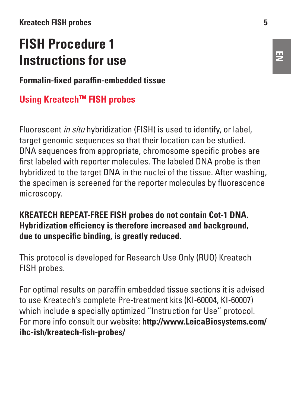#### **Kreatech FISH probes 5**

# **FISH Procedure 1 Instructions for use**

**Formalin-fixed paraffin-embedded tissue**

## **Using KreatechTM FISH probes**

Fluorescent *in situ* hybridization (FISH) is used to identify, or label target genomic sequences so that their location can be studied. DNA sequences from appropriate, chromosome specific probes are first labeled with reporter molecules. The labeled DNA probe is then hybridized to the target DNA in the nuclei of the tissue. After washing, the specimen is screened for the reporter molecules by fluorescence microscopy.

#### **KREATECH REPEAT-FREE FISH probes do not contain Cot-1 DNA. Hybridization efficiency is therefore increased and background, due to unspecific binding, is greatly reduced.**

This protocol is developed for Research Use Only (RUO) Kreatech FISH probes.

For optimal results on paraffin embedded tissue sections it is advised to use Kreatech's complete Pre-treatment kits (KI-60004, KI-60007) which include a specially optimized "Instruction for Use" protocol. For more info consult our website: **http://www.LeicaBiosystems.com/ ihc-ish/kreatech-fish-probes/**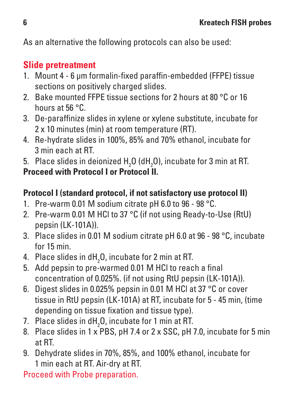As an alternative the following protocols can also be used:

# **Slide pretreatment**

- 1. Mount 4 6 μm formalin-fixed paraffin-embedded (FFPE) tissue sections on positively charged slides.
- 2. Bake mounted FFPF tissue sections for 2 hours at 80 °C or 16 hours at 56 °C.
- 3. De-paraffinize slides in xylene or xylene substitute, incubate for 2 x 10 minutes (min) at room temperature (RT).
- 4. Re-hydrate slides in 100%, 85% and 70% ethanol, incubate for 3 min each at RT.
- 5. Place slides in deionized H<sub>2</sub>O (dH<sub>2</sub>O), incubate for 3 min at RT.

**Proceed with Protocol I or Protocol II.**

## **Protocol I (standard protocol, if not satisfactory use protocol II)**

- 1. Pre-warm 0.01 M sodium citrate pH 6.0 to 96 98 °C.
- 2. Pre-warm 0.01 M HCl to 37 °C (if not using Ready-to-Use (RtU) pepsin (LK-101A)).
- 3. Place slides in 0.01 M sodium citrate pH 6.0 at 96 98 °C, incubate for 15 min.
- 4. Place slides in dH $_{\rm 2}$ O, incubate for 2 min at RT.
- 5. Add pepsin to pre-warmed 0.01 M HCl to reach a final concentration of 0.025%. (if not using RtU pepsin (LK-101A)).
- 6. Digest slides in 0.025% pepsin in 0.01 M HCl at 37 °C or cover tissue in RtU pepsin (LK-101A) at RT, incubate for 5 - 45 min, (time depending on tissue fixation and tissue type).
- 7. Place slides in dH $_{\rm 2}$ O, incubate for 1 min at RT.
- 8. Place slides in 1 x PBS, pH 7.4 or 2 x SSC, pH 7.0, incubate for 5 min at RT.
- 9. Dehydrate slides in 70%, 85%, and 100% ethanol, incubate for 1 min each at RT. Air-dry at RT.

Proceed with Probe preparation.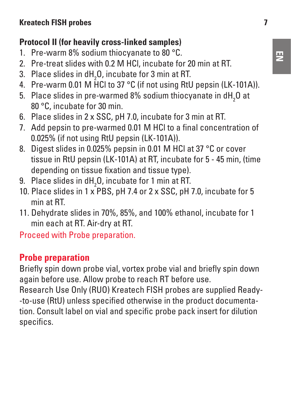## **Protocol II (for heavily cross-linked samples)**

- 1. Pre-warm 8% sodium thiocyanate to 80 °C.
- 2. Pre-treat slides with 0.2 M HCl, incubate for 20 min at RT.
- 3. Place slides in  $dH_2O$ , incubate for 3 min at RT.
- 4. Pre-warm 0.01 M HCl to 37 °C (if not using RtU pepsin (LK-101A)).
- 5. Place slides in pre-warmed 8% sodium thiocyanate in dH $_{\rm 2}$ O at 80 °C, incubate for 30 min.
- 6. Place slides in 2 x SSC, pH 7.0, incubate for 3 min at RT.
- 7. Add pepsin to pre-warmed 0.01 M HCl to a final concentration of 0.025% (if not using RtU pepsin (LK-101A)).
- 8. Digest slides in 0.025% pepsin in 0.01 M HCl at 37 °C or cover tissue in RtU pepsin (LK-101A) at RT, incubate for 5 - 45 min, (time depending on tissue fixation and tissue type).
- 9. Place slides in  $dH_2O$ , incubate for 1 min at RT.
- 10. Place slides in 1 x PBS, pH 7.4 or 2 x SSC, pH 7.0, incubate for 5 min at RT.
- 11. Dehydrate slides in 70%, 85%, and 100% ethanol, incubate for 1 min each at RT. Air-dry at RT.

Proceed with Probe preparation.

# **Probe preparation**

Briefly spin down probe vial, vortex probe vial and briefly spin down again before use. Allow probe to reach RT before use.

Research Use Only (RUO) Kreatech FISH probes are supplied Ready- -to-use (RtU) unless specified otherwise in the product documentation. Consult label on vial and specific probe pack insert for dilution specifics.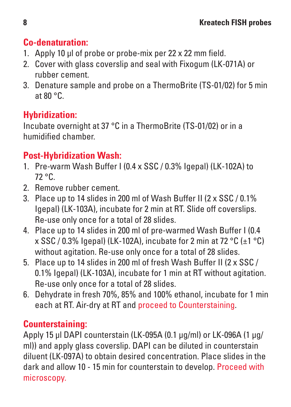# **Co-denaturation:**

- 1. Apply 10 μl of probe or probe-mix per 22 x 22 mm field.
- 2. Cover with glass coverslip and seal with Fixogum (LK-071A) or rubber cement.
- 3. Denature sample and probe on a ThermoBrite (TS-01/02) for 5 min at 80 °C.

# **Hybridization:**

Incubate overnight at 37 °C in a ThermoBrite (TS-01/02) or in a humidified chamber.

# **Post-Hybridization Wash:**

- 1. Pre-warm Wash Buffer I (0.4 x SSC / 0.3% Igepal) (LK-102A) to 72 °C.
- 2. Remove rubber cement.
- 3. Place up to 14 slides in 200 ml of Wash Buffer II (2 x SSC / 0.1% Igepal) (LK-103A), incubate for 2 min at RT. Slide off coverslips. Re-use only once for a total of 28 slides.
- 4. Place up to 14 slides in 200 ml of pre-warmed Wash Buffer I (0.4  $x$  SSC / 0.3% Igepal) (LK-102A), incubate for 2 min at 72 °C (+1 °C) without agitation. Re-use only once for a total of 28 slides.
- 5. Place up to 14 slides in 200 ml of fresh Wash Buffer II (2 x SSC / 0.1% Igepal) (LK-103A), incubate for 1 min at RT without agitation. Re-use only once for a total of 28 slides.
- 6. Dehydrate in fresh 70%, 85% and 100% ethanol, incubate for 1 min each at RT. Air-dry at RT and proceed to Counterstaining.

# **Counterstaining:**

Apply 15 μl DAPI counterstain (LK-095A (0.1 μg/ml) or LK-096A (1 μg/ ml)) and apply glass coverslip. DAPI can be diluted in counterstain diluent (LK-097A) to obtain desired concentration. Place slides in the dark and allow 10 - 15 min for counterstain to develop. Proceed with microscopy.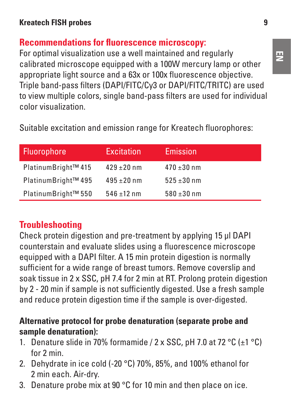## **Recommendations for fluorescence microscopy:**

For optimal visualization use a well maintained and regularly calibrated microscope equipped with a 100W mercury lamp or other appropriate light source and a 63x or 100x fluorescence objective. Triple band-pass filters (DAPI/FITC/Cy3 or DAPI/FITC/TRITC) are used to view multiple colors, single band-pass filters are used for individual color visualization.

Suitable excitation and emission range for Kreatech fluorophores:

| Fluorophore         | Excitation      | Emission        |
|---------------------|-----------------|-----------------|
| PlatinumBright™ 415 | $429 \pm 20$ nm | $470 \pm 30$ nm |
| PlatinumBright™ 495 | $495 \pm 20$ nm | $525 \pm 30$ nm |
| PlatinumBright™ 550 | $546 + 12$ nm   | $580 \pm 30$ nm |

# **Troubleshooting**

Check protein digestion and pre-treatment by applying 15 μl DAPI counterstain and evaluate slides using a fluorescence microscope equipped with a DAPI filter. A 15 min protein digestion is normally sufficient for a wide range of breast tumors. Remove coverslip and soak tissue in 2 x SSC, pH 7.4 for 2 min at RT. Prolong protein digestion by 2 - 20 min if sample is not sufficiently digested. Use a fresh sample and reduce protein digestion time if the sample is over-digested.

#### **Alternative protocol for probe denaturation (separate probe and sample denaturation):**

- 1. Denature slide in 70% formamide /  $2 \times$  SSC, pH 7.0 at 72 °C ( $\pm$ 1 °C) for 2 min.
- 2. Dehydrate in ice cold (-20 °C) 70%, 85%, and 100% ethanol for 2 min each. Air-dry.
- 3. Denature probe mix at 90 °C for 10 min and then place on ice.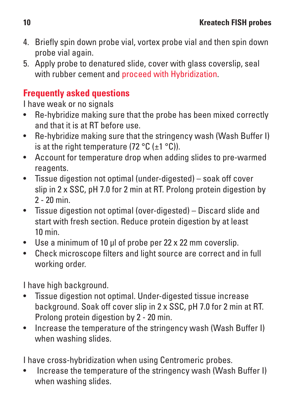- 4. Briefly spin down probe vial, vortex probe vial and then spin down probe vial again.
- 5. Apply probe to denatured slide, cover with glass coverslip, seal with rubber cement and proceed with Hybridization.

# **Frequently asked questions**

I have weak or no signals

- Re-hybridize making sure that the probe has been mixed correctly and that it is at RT before use.
- Re-hybridize making sure that the stringency wash (Wash Buffer I) is at the right temperature (72 °C ( $\pm$ 1 °C)).
- Account for temperature drop when adding slides to pre-warmed reagents.
- Tissue digestion not optimal (under-digested) soak off cover slip in 2 x SSC, pH 7.0 for 2 min at RT. Prolong protein digestion by 2 - 20 min.
- Tissue digestion not optimal (over-digested) Discard slide and start with fresh section. Reduce protein digestion by at least 10 min.
- Use a minimum of 10 ul of probe per 22 x 22 mm coverslip.
- Check microscope filters and light source are correct and in full working order.

I have high background.

- Tissue digestion not optimal. Under-digested tissue increase background. Soak off cover slip in 2 x SSC, pH 7.0 for 2 min at RT. Prolong protein digestion by 2 - 20 min.
- Increase the temperature of the stringency wash (Wash Buffer I) when washing slides.

I have cross-hybridization when using Centromeric probes.

• Increase the temperature of the stringency wash (Wash Buffer I) when washing slides.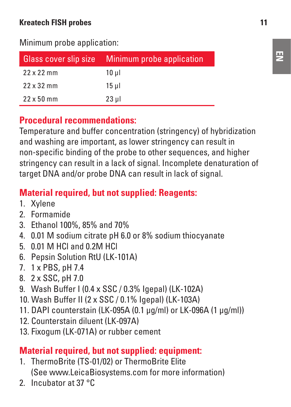#### **Kreatech FISH probes 11**

Minimum probe application:

| <b>Glass cover slip size</b> | Minimum probe application |  |
|------------------------------|---------------------------|--|
| $22x22$ mm                   | 10 ul                     |  |
| $22x32$ mm                   | 15 ul                     |  |
| $22 \times 50$ mm            | $23$ ul                   |  |

#### **Procedural recommendations:**

Temperature and buffer concentration (stringency) of hybridization and washing are important, as lower stringency can result in non-specific binding of the probe to other sequences, and higher stringency can result in a lack of signal. Incomplete denaturation of target DNA and/or probe DNA can result in lack of signal

#### **Material required, but not supplied: Reagents:**

- 1. Xylene
- 2. Formamide
- 3. Ethanol 100%, 85% and 70%
- 4. 0.01 M sodium citrate pH 6.0 or 8% sodium thiocyanate
- 5. 0.01 M HCl and 0.2M HCl
- 6. Pepsin Solution RtU (LK-101A)
- 7. 1 x PBS, pH 7.4
- 8. 2 x SSC, pH 7.0
- 9. Wash Buffer I (0.4 x SSC / 0.3% Igepal) (LK-102A)
- 10. Wash Buffer II (2 x SSC / 0.1% Igepal) (LK-103A)
- 11. DAPI counterstain (LK-095A (0.1 μg/ml) or LK-096A (1 μg/ml))
- 12. Counterstain diluent (LK-097A)
- 13. Fixogum (LK-071A) or rubber cement

#### **Material required, but not supplied: equipment:**

- 1. ThermoBrite (TS-01/02) or ThermoBrite Elite (See www.LeicaBiosystems.com for more information)
- 2. Incubator at 37 °C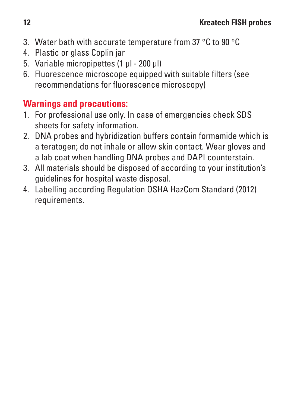- 3. Water bath with accurate temperature from 37 °C to 90 °C
- 4. Plastic or glass Coplin jar
- 5. Variable micropipettes (1 μl 200 μl)
- 6. Fluorescence microscope equipped with suitable filters (see recommendations for fluorescence microscopy)

# **Warnings and precautions:**

- 1. For professional use only. In case of emergencies check SDS sheets for safety information.
- 2. DNA probes and hybridization buffers contain formamide which is a teratogen; do not inhale or allow skin contact. Wear gloves and a lab coat when handling DNA probes and DAPI counterstain.
- 3. All materials should be disposed of according to your institution's guidelines for hospital waste disposal.
- 4. Labelling according Regulation OSHA HazCom Standard (2012) requirements.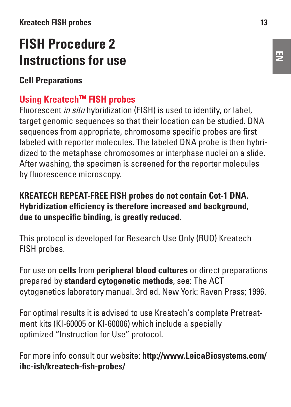#### **Kreatech FISH probes 13**

# **FISH Procedure 2 Instructions for use**

**Cell Preparations**

## **Using KreatechTM FISH probes**

Fluorescent *in situ* hybridization (FISH) is used to identify, or label, target genomic sequences so that their location can be studied. DNA sequences from appropriate, chromosome specific probes are first labeled with reporter molecules. The labeled DNA probe is then hybridized to the metaphase chromosomes or interphase nuclei on a slide. After washing, the specimen is screened for the reporter molecules by fluorescence microscopy.

#### **KREATECH REPEAT-FREE FISH probes do not contain Cot-1 DNA. Hybridization efficiency is therefore increased and background, due to unspecific binding, is greatly reduced.**

This protocol is developed for Research Use Only (RUO) Kreatech FISH probes.

For use on **cells** from **peripheral blood cultures** or direct preparations prepared by **standard cytogenetic methods**, see: The ACT cytogenetics laboratory manual. 3rd ed. New York: Raven Press; 1996.

For optimal results it is advised to use Kreatech's complete Pretreatment kits (KI-60005 or KI-60006) which include a specially optimized "Instruction for Use" protocol.

For more info consult our website: **http://www.LeicaBiosystems.com/ ihc-ish/kreatech-fish-probes/**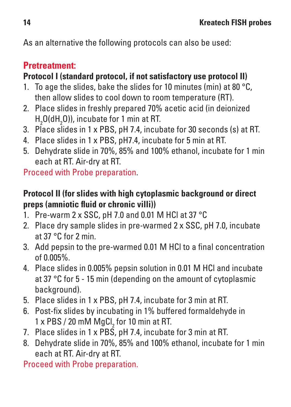As an alternative the following protocols can also be used:

## **Pretreatment:**

## **Protocol I (standard protocol, if not satisfactory use protocol II)**

- 1. To age the slides, bake the slides for 10 minutes (min) at 80 °C. then allow slides to cool down to room temperature (RT).
- 2. Place slides in freshly prepared 70% acetic acid (in deionized  $H<sub>2</sub>$ O(d $H<sub>2</sub>$ O)), incubate for 1 min at RT.
- 3. Place slides in 1 x PBS, pH 7.4, incubate for 30 seconds (s) at RT.
- 4. Place slides in 1 x PBS, pH7.4, incubate for 5 min at RT.
- 5. Dehydrate slide in 70%, 85% and 100% ethanol, incubate for 1 min each at RT. Air-dry at RT.

Proceed with Probe preparation.

### **Protocol II (for slides with high cytoplasmic background or direct preps (amniotic fluid or chronic villi))**

- 1. Pre-warm 2 x SSC, pH 7.0 and 0.01 M HCl at 37 °C
- 2. Place dry sample slides in pre-warmed 2 x SSC, pH 7.0, incubate at  $37°C$  for  $2$  min.
- 3. Add pepsin to the pre-warmed 0.01 M HCl to a final concentration of 0.005%.
- 4. Place slides in 0.005% pepsin solution in 0.01 M HCl and incubate at 37 °C for 5 - 15 min (depending on the amount of cytoplasmic background).
- 5. Place slides in 1 x PBS, pH 7.4, incubate for 3 min at RT.
- 6. Post-fix slides by incubating in 1% buffered formaldehyde in 1 x PBS / 20 mM  $\mathrm{MgCl}_{2}$  for 10 min at RT.
- 7. Place slides in 1 x  $\overline{PBS}$ , pH 7.4, incubate for 3 min at RT.
- 8. Dehydrate slide in 70%, 85% and 100% ethanol, incubate for 1 min each at RT. Air-dry at RT.

Proceed with Probe preparation.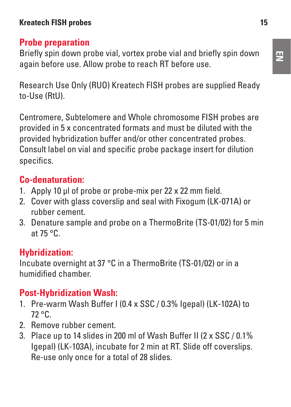## **Probe preparation**

Briefly spin down probe vial, vortex probe vial and briefly spin down again before use. Allow probe to reach RT before use.

Research Use Only (RUO) Kreatech FISH probes are supplied Ready to-Use (RtU).

Centromere, Subtelomere and Whole chromosome FISH probes are provided in 5 x concentrated formats and must be diluted with the provided hybridization buffer and/or other concentrated probes. Consult label on vial and specific probe package insert for dilution specifics.

# **Co-denaturation:**

- 1. Apply 10 μl of probe or probe-mix per 22 x 22 mm field.
- 2. Cover with glass coverslip and seal with Fixogum (LK-071A) or rubber cement.
- 3. Denature sample and probe on a ThermoBrite (TS-01/02) for 5 min at 75 °C.

# **Hybridization:**

Incubate overnight at 37 °C in a ThermoBrite (TS-01/02) or in a humidified chamber.

# **Post-Hybridization Wash:**

- 1. Pre-warm Wash Buffer I (0.4 x SSC / 0.3% Igepal) (LK-102A) to 72 °C.
- 2. Remove rubber cement.
- 3. Place up to 14 slides in 200 ml of Wash Buffer II (2 x SSC / 0.1% Igepal) (LK-103A), incubate for 2 min at RT. Slide off coverslips. Re-use only once for a total of 28 slides.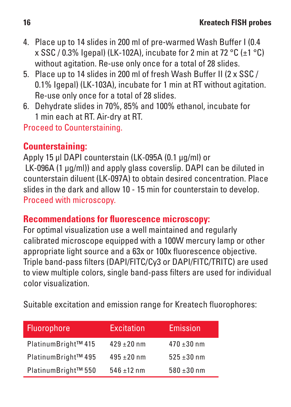- 4. Place up to 14 slides in 200 ml of pre-warmed Wash Buffer I (0.4 x SSC / 0.3% Igenal) (LK-102A), incubate for 2 min at 72 °C (+1 °C) without agitation. Re-use only once for a total of 28 slides.
- 5. Place up to 14 slides in 200 ml of fresh Wash Buffer II (2 x SSC / 0.1% Igepal) (LK-103A), incubate for 1 min at RT without agitation. Re-use only once for a total of 28 slides.
- 6. Dehydrate slides in 70%, 85% and 100% ethanol, incubate for 1 min each at RT. Air-dry at RT.

Proceed to Counterstaining.

## **Counterstaining:**

Apply 15 μl DAPI counterstain (LK-095A (0.1 μg/ml) or LK-096A (1 ug/ml)) and apply glass coverslip. DAPI can be diluted in counterstain diluent (LK-097A) to obtain desired concentration. Place slides in the dark and allow 10 - 15 min for counterstain to develop. Proceed with microscopy.

#### **Recommendations for fluorescence microscopy:**

For optimal visualization use a well maintained and regularly calibrated microscope equipped with a 100W mercury lamp or other appropriate light source and a 63x or 100x fluorescence objective. Triple band-pass filters (DAPI/FITC/Cy3 or DAPI/FITC/TRITC) are used to view multiple colors, single band-pass filters are used for individual color visualization.

Suitable excitation and emission range for Kreatech fluorophores:

| Fluorophore         | Excitation      | Emission        |
|---------------------|-----------------|-----------------|
| PlatinumBright™ 415 | $429 + 20$ nm   | $470 \pm 30$ nm |
| PlatinumBright™ 495 | $495 \pm 20$ nm | $525 \pm 30$ nm |
| PlatinumBright™ 550 | $546 + 12$ nm   | $580 + 30$ nm   |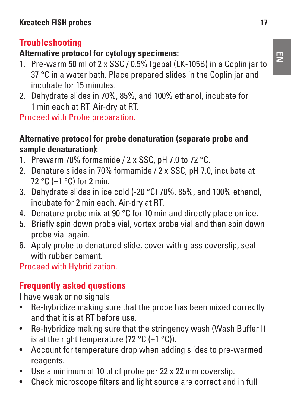# **Troubleshooting**

# **Alternative protocol for cytology specimens:**

- 1. Pre-warm 50 ml of 2 x SSC / 0.5% Igepal (LK-105B) in a Coplin jar to 37 °C in a water bath. Place prepared slides in the Coplin jar and incubate for 15 minutes.
- 2. Dehydrate slides in 70%, 85%, and 100% ethanol, incubate for 1 min each at RT. Air-dry at RT.

Proceed with Probe preparation.

## **Alternative protocol for probe denaturation (separate probe and sample denaturation):**

- 1. Prewarm 70% formamide / 2 x SSC, pH 7.0 to 72 °C.
- 2. Denature slides in 70% formamide / 2 x SSC, pH 7.0, incubate at 72 °C  $(+1$  °C) for 2 min.
- 3. Dehydrate slides in ice cold (-20 °C) 70%, 85%, and 100% ethanol, incubate for 2 min each. Air-dry at RT.
- 4. Denature probe mix at 90 °C for 10 min and directly place on ice.
- 5. Briefly spin down probe vial, vortex probe vial and then spin down probe vial again.
- 6. Apply probe to denatured slide, cover with glass coverslip, seal with rubber cement.

Proceed with Hybridization.

# **Frequently asked questions**

I have weak or no signals

- Re-hybridize making sure that the probe has been mixed correctly and that it is at RT before use.
- Re-hybridize making sure that the stringency wash (Wash Buffer I) is at the right temperature (72 °C (+1 °C)).
- Account for temperature drop when adding slides to pre-warmed reagents.
- Use a minimum of 10 ul of probe per 22 x 22 mm coverslip.
- Check microscope filters and light source are correct and in full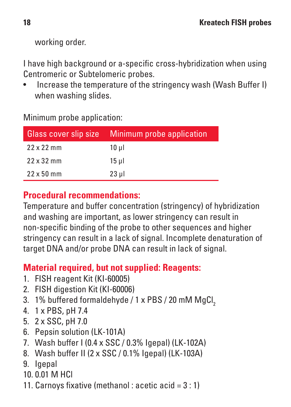working order.

I have high background or a-specific cross-hybridization when using Centromeric or Subtelomeric probes.

• Increase the temperature of the stringency wash (Wash Buffer I) when washing slides.

Minimum probe application:

| Glass cover slip size | Minimum probe application |
|-----------------------|---------------------------|
| $22 \times 22$ mm     | 10 ul                     |
| 22 x 32 mm            | $15$ ul                   |
| $22 \times 50$ mm     | 23 ul                     |

## **Procedural recommendations:**

Temperature and buffer concentration (stringency) of hybridization and washing are important, as lower stringency can result in non-specific binding of the probe to other sequences and higher stringency can result in a lack of signal. Incomplete denaturation of target DNA and/or probe DNA can result in lack of signal.

## **Material required, but not supplied: Reagents:**

- 1. FISH reagent Kit (KI-60005)
- 2. FISH digestion Kit (KI-60006)
- 3. 1% buffered formaldehyde / 1 x PBS / 20 mM MgCl,
- 4. 1 x PBS, pH 7.4
- 5. 2 x SSC, pH 7.0
- 6. Pepsin solution (LK-101A)
- 7. Wash buffer I (0.4 x SSC / 0.3% Igepal) (LK-102A)
- 8. Wash buffer II (2 x SSC / 0.1% Igepal) (LK-103A)
- 9. Igepal
- $10.001$  M HCl
- 11. Carnoys fixative (methanol : acetic acid = 3 : 1)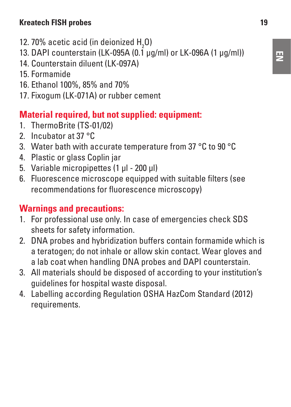#### **Kreatech FISH probes 19**

- 12. 70% acetic acid (in deionized  $H_{2}$ O)
- 13. DAPI counterstain (LK-095A (0.1 μg/ml) or LK-096A (1 μg/ml))
- 14. Counterstain diluent (LK-097A)
- 15. Formamide
- 16. Ethanol 100%, 85% and 70%
- 17. Fixogum (LK-071A) or rubber cement

## **Material required, but not supplied: equipment:**

- 1. ThermoBrite (TS-01/02)
- 2. Incubator at 37 °C
- 3. Water bath with accurate temperature from 37 °C to 90 °C
- 4. Plastic or glass Coplin jar
- 5. Variable micropipettes (1 μl 200 μl)
- 6. Fluorescence microscope equipped with suitable filters (see recommendations for fluorescence microscopy)

## **Warnings and precautions:**

- 1. For professional use only. In case of emergencies check SDS sheets for safety information.
- 2. DNA probes and hybridization buffers contain formamide which is a teratogen; do not inhale or allow skin contact. Wear gloves and a lab coat when handling DNA probes and DAPI counterstain.
- 3. All materials should be disposed of according to your institution's guidelines for hospital waste disposal.
- 4. Labelling according Regulation OSHA HazCom Standard (2012) requirements.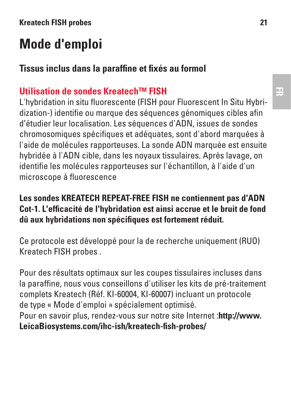# **Mode d'emploi**

## **Tissus inclus dans la paraffine et fixés au formol**

## **Utilisation de sondes Kreatech™ FISH**

L'hybridation in situ fluorescente (FISH pour Fluorescent In Situ Hybridization-) identifie ou marque des séquences génomiques cibles afin d'étudier leur localisation. Les séquences d'ADN, issues de sondes chromosomiques spécifiques et adéquates, sont d'abord marquées à l'aide de molécules rapporteuses. La sonde ADN marquée est ensuite hybridée à l'ADN cible, dans les noyaux tissulaires. Après lavage, on identifie les molécules rapporteuses sur l'échantillon, à l'aide d'un microscope à fluorescence

#### **Les sondes KREATECH REPEAT-FREE FISH ne contiennent pas d'ADN Cot-1. L'efficacité de l'hybridation est ainsi accrue et le bruit de fond dû aux hybridations non spécifiques est fortement réduit.**

Ce protocole est développé pour la de recherche uniquement (RUO) Kreatech FISH probes .

Pour des résultats optimaux sur les coupes tissulaires incluses dans la paraffine, nous vous conseillons d'utiliser les kits de pré-traitement complets Kreatech (Réf. KI-60004, KI-60007) incluant un protocole de type « Mode d'emploi » spécialement optimisé. Pour en savoir plus, rendez-vous sur notre site Internet :**http://www.**

**LeicaBiosystems.com/ihc-ish/kreatech-fish-probes/**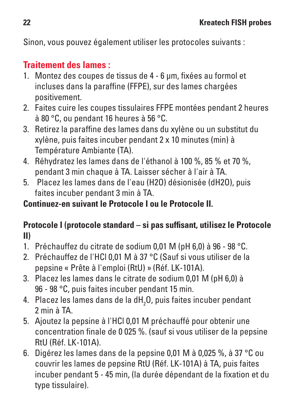Sinon, vous pouvez également utiliser les protocoles suivants :

# **Traitement des lames :**

- 1. Montez des coupes de tissus de 4 6 μm, fixées au formol et incluses dans la paraffine (FFPF), sur des lames chargées positivement.
- 2. Faites cuire les coupes tissulaires FFPE montées pendant 2 heures à 80 °C, ou pendant 16 heures à 56 °C.
- 3. Retirez la paraffine des lames dans du xylène ou un substitut du xylène, puis faites incuber pendant 2 x 10 minutes (min) à Température Ambiante (TA).
- 4. Réhydratez les lames dans de l'éthanol à 100 %, 85 % et 70 %, pendant 3 min chaque à TA. Laisser sécher à l'air à TA.
- 5. Placez les lames dans de l'eau (H2O) désionisée (dH2O), puis faites incuber pendant 3 min à TA.

**Continuez-en suivant le Protocole I ou le Protocole II.**

#### **Protocole I (protocole standard – si pas suffisant, utilisez le Protocole II)**

- 1. Préchauffez du citrate de sodium 0,01 M (pH 6,0) à 96 98 °C.
- 2. Préchauffez de l'HCl 0,01 M à 37 °C (Sauf si vous utiliser de la pepsine « Prête à l'emploi (RtU) » (Réf. LK-101A).
- 3. Placez les lames dans le citrate de sodium 0,01 M (pH 6,0) à 96 - 98 °C, puis faites incuber pendant 15 min.
- 4. Placez les lames dans de la dH<sub>2</sub>O, puis faites incuber pendant 2 min à TA.
- 5. Ajoutez la pepsine à l'HCl 0,01 M préchauffé pour obtenir une concentration finale de 0 025 %. (sauf si vous utiliser de la pepsine RtU (Réf. LK-101A).
- 6. Digérez les lames dans de la pepsine 0,01 M à 0,025 %, à 37 °C ou couvrir les lames de pepsine RtU (Réf. LK-101A) à TA, puis faites incuber pendant 5 - 45 min, (la durée dépendant de la fixation et du type tissulaire).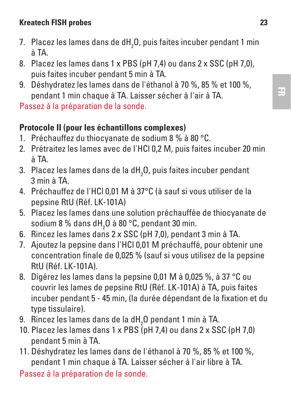#### **Kreatech FISH probes 23**

- 7.  $\,$  Placez les lames dans de d ${\sf H}_2^{}$ O, puis faites incuber pendant 1 min à TA.
- 8. Placez les lames dans 1 x PBS (pH 7,4) ou dans 2 x SSC (pH 7,0), puis faites incuber pendant 5 min à TA.
- 9. Déshydratez les lames dans de l'éthanol à 70 %, 85 % et 100 %, pendant 1 min chaque à TA. Laisser sécher à l'air à TA.

Passez à la préparation de la sonde.

#### **Protocole II (pour les échantillons complexes)**

- 1. Préchauffez du thiocyanate de sodium 8 % à 80 °C.
- 2. Prétraitez les lames avec de l'HCl 0,2 M, puis faites incuber 20 min à TA.
- 3. Placez les lames dans de la dH $_{\rm 2}$ O, puis faites incuber pendant 3 min à TA.
- 4. Préchauffez de l'HCl 0,01 M à 37°C (à sauf si vous utiliser de la pepsine RtU (Réf. LK-101A)
- 5. Placez les lames dans une solution préchauffée de thiocyanate de sodium 8 % dans dH<sub>2</sub>O à 80 °C, pendant 30 min.
- 6. Rincez les lames dans 2 x SSC (pH 7,0), pendant 3 min à TA.
- 7. Ajoutez la pepsine dans l'HCl 0,01 M préchauffé, pour obtenir une concentration finale de 0,025 % (sauf si vous utilisez de la pepsine RtU (Réf. LK-101A).
- 8. Digérez les lames dans la pepsine 0,01 M à 0,025 %, à 37 °C ou couvrir les lames de pepsine RtU (Réf. LK-101A) à TA, puis faites incuber pendant 5 - 45 min, (la durée dépendant de la fixation et du type tissulaire).
- 9.  $\,$  Rincez les lames dans de la d ${\rm H}_2^{}$ O pendant 1 min à TA.
- 10. Placez les lames dans 1 x PBS (pH 7,4) ou dans 2 x SSC (pH 7,0) pendant 5 min à TA.
- 11. Déshydratez les lames dans de l'éthanol à 70 %, 85 % et 100 %, pendant 1 min chaque à TA. Laisser sécher à l'air libre à TA.

Passez à la préparation de la sonde.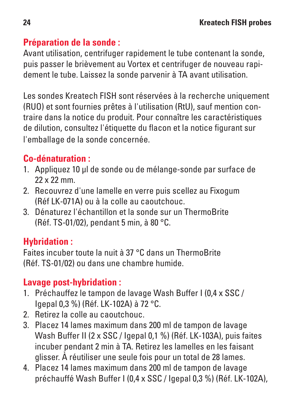## **Préparation de la sonde :**

Avant utilisation, centrifuger rapidement le tube contenant la sonde, puis passer le brièvement au Vortex et centrifuger de nouveau rapidement le tube. Laissez la sonde parvenir à TA avant utilisation.

Les sondes Kreatech FISH sont réservées à la recherche uniquement (RUO) et sont fournies prêtes à l'utilisation (RtU), sauf mention contraire dans la notice du produit. Pour connaître les caractéristiques de dilution, consultez l'étiquette du flacon et la notice figurant sur l'emballage de la sonde concernée.

# **Co-dénaturation :**

- 1. Appliquez 10 μl de sonde ou de mélange-sonde par surface de 22 x 22 mm.
- 2. Recouvrez d'une lamelle en verre puis scellez au Fixogum (Réf LK-071A) ou à la colle au caoutchouc.
- 3. Dénaturez l'échantillon et la sonde sur un ThermoBrite (Réf. TS-01/02), pendant 5 min, à 80 °C.

## **Hybridation :**

Faites incuber toute la nuit à 37 °C dans un ThermoBrite (Réf. TS-01/02) ou dans une chambre humide.

## **Lavage post-hybridation :**

- 1. Préchauffez le tampon de lavage Wash Buffer I (0,4 x SSC / Igepal 0,3 %) (Réf. LK-102A) à 72 °C.
- 2. Retirez la colle au caoutchouc.
- 3. Placez 14 lames maximum dans 200 ml de tampon de lavage Wash Buffer II (2 x SSC / Igepal 0,1 %) (Réf. LK-103A), puis faites incuber pendant 2 min à TA. Retirez les lamelles en les faisant glisser. À réutiliser une seule fois pour un total de 28 lames.
- 4. Placez 14 lames maximum dans 200 ml de tampon de lavage préchauffé Wash Buffer I (0,4 x SSC / Igepal 0,3 %) (Réf. LK-102A),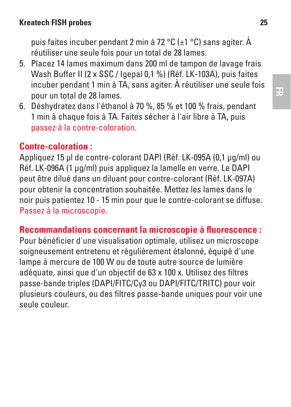#### **Kreatech FISH probes 25**

puis faites incuber pendant 2 min à 72 °C (±1 °C) sans agiter. À réutiliser une seule fois pour un total de 28 lames.

- 5. Placez 14 lames maximum dans 200 ml de tampon de lavage frais Wash Buffer II (2 x SSC / Igenal 0,1 %) (Réf. LK-103A), puis faites incuber pendant 1 min à TA, sans agiter. À réutiliser une seule fois pour un total de 28 lames.
- 6. Déshydratez dans l'éthanol à 70 %, 85 % et 100 % frais, pendant 1 min à chaque fois à TA. Faites sécher à l'air libre à TA, puis passez à la contre-coloration.

## **Contre-coloration :**

Appliquez 15 μl de contre-colorant DAPI (Réf. LK-095A (0,1 μg/ml) ou Réf. LK-096A (1 μg/ml) puis appliquez la lamelle en verre. Le DAPI peut être dilué dans un diluant pour contre-colorant (Réf. LK-097A) pour obtenir la concentration souhaitée. Mettez les lames dans le noir puis patientez 10 - 15 min pour que le contre-colorant se diffuse. Passez à la microscopie.

#### **Recommandations concernant la microscopie à fluorescence :**

Pour bénéficier d'une visualisation optimale, utilisez un microscope soigneusement entretenu et régulièrement étalonné, équipé d'une lampe à mercure de 100 W ou de toute autre source de lumière adéquate, ainsi que d'un objectif de 63 x 100 x. Utilisez des filtres passe-bande triples (DAPI/FITC/Cy3 ou DAPI/FITC/TRITC) pour voir plusieurs couleurs, ou des filtres passe-bande uniques pour voir une seule couleur.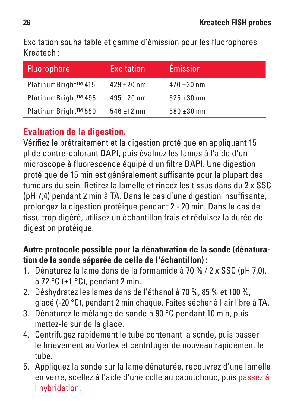Excitation souhaitable et gamme d'émission pour les fluorophores Kreatech :

| Fluorophore         | Excitation      | <b>Émission</b> |
|---------------------|-----------------|-----------------|
| PlatinumBright™ 415 | $429 + 20$ nm   | $470 + 30$ nm   |
| PlatinumBright™495  | $495 \pm 20$ nm | $525 + 30$ nm   |
| PlatinumBright™ 550 | $546 \pm 12$ nm | $580 \pm 30$ nm |

# **Evaluation de la digestion.**

Vérifiez le prétraitement et la digestion protéique en appliquant 15 μl de contre-colorant DAPI, puis évaluez les lames à l'aide d'un microscope à fluorescence équipé d'un filtre DAPI. Une digestion protéique de 15 min est généralement suffisante pour la plupart des tumeurs du sein. Retirez la lamelle et rincez les tissus dans du 2 x SSC (pH 7,4) pendant 2 min à TA. Dans le cas d'une digestion insuffisante, prolongez la digestion protéique pendant 2 - 20 min. Dans le cas de tissu trop digéré, utilisez un échantillon frais et réduisez la durée de digestion protéique.

#### **Autre protocole possible pour la dénaturation de la sonde (dénaturation de la sonde séparée de celle de l'échantillon) :**

- 1. Dénaturez la lame dans de la formamide à 70 % / 2 x SSC (pH 7,0), à 72 °C (±1 °C), pendant 2 min.
- 2. Déshydratez les lames dans de l'éthanol à 70 %, 85 % et 100 %, glacé (-20 °C), pendant 2 min chaque. Faites sécher à l'air libre à TA.
- 3. Dénaturez le mélange de sonde à 90 °C pendant 10 min, puis mettez-le sur de la glace.
- 4. Centrifugez rapidement le tube contenant la sonde, puis passer le brièvement au Vortex et centrifuger de nouveau rapidement le tube.
- 5. Appliquez la sonde sur la lame dénaturée, recouvrez d'une lamelle en verre, scellez à l'aide d'une colle au caoutchouc, puis passez à l'hybridation.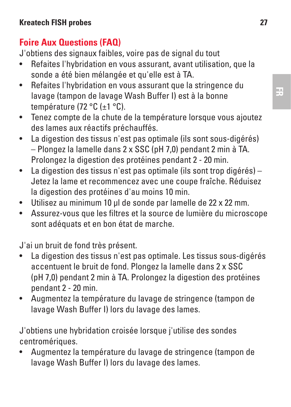# **Foire Aux Questions (FAQ)**

J'obtiens des signaux faibles, voire pas de signal du tout

- Refaites l'hybridation en vous assurant, avant utilisation, que la sonde a été bien mélangée et qu'elle est à TA.
- Refaites l'hybridation en vous assurant que la stringence du lavage (tampon de lavage Wash Buffer I) est à la bonne température (72 °C (±1 °C).
- Tenez compte de la chute de la température lorsque vous ajoutez des lames aux réactifs préchauffés.
- La digestion des tissus n'est pas optimale (ils sont sous-digérés) – Plongez la lamelle dans 2 x SSC (pH 7,0) pendant 2 min à TA. Prolongez la digestion des protéines pendant 2 - 20 min.
- La digestion des tissus n'est pas optimale (ils sont trop digérés) Jetez la lame et recommencez avec une coupe fraîche. Réduisez la digestion des protéines d'au moins 10 min.
- Utilisez au minimum 10 μl de sonde par lamelle de 22 x 22 mm.
- Assurez-vous que les filtres et la source de lumière du microscope sont adéquats et en bon état de marche.

J'ai un bruit de fond très présent.

- La digestion des tissus n'est pas optimale. Les tissus sous-digérés accentuent le bruit de fond. Plongez la lamelle dans 2 x SSC (pH 7,0) pendant 2 min à TA. Prolongez la digestion des protéines pendant 2 - 20 min.
- Augmentez la température du lavage de stringence (tampon de lavage Wash Buffer I) lors du lavage des lames.

J'obtiens une hybridation croisée lorsque j'utilise des sondes centromériques.

• Augmentez la température du lavage de stringence (tampon de lavage Wash Buffer I) lors du lavage des lames.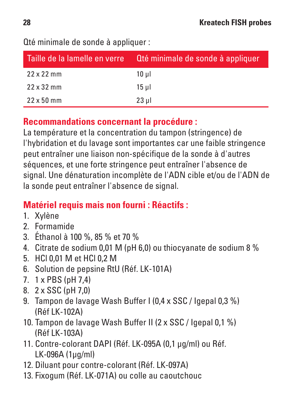| Taille de la lamelle en verre | Oté minimale de sonde à appliquer. |  |
|-------------------------------|------------------------------------|--|
| $22 \times 22$ mm             | 10 ul                              |  |
| $22 \times 32$ mm             | 15 ul                              |  |
| $22 \times 50$ mm             | $23$ ul                            |  |

Qté minimale de sonde à appliquer :

#### **Recommandations concernant la procédure :**

La température et la concentration du tampon (stringence) de l'hybridation et du lavage sont importantes car une faible stringence peut entraîner une liaison non-spécifique de la sonde à d'autres séquences, et une forte stringence peut entraîner l'absence de signal. Une dénaturation incomplète de l'ADN cible et/ou de l'ADN de la sonde peut entraîner l'absence de signal.

## **Matériel requis mais non fourni : Réactifs :**

- 1. Xylène
- 2. Formamide
- 3. Éthanol à 100 %, 85 % et 70 %
- 4. Citrate de sodium 0,01 M (pH 6,0) ou thiocyanate de sodium 8 %
- 5. HCl 0,01 M et HCl 0,2 M
- 6. Solution de pepsine RtU (Réf. LK-101A)
- 7. 1 x PBS (pH 7,4)
- 8. 2 x SSC (pH 7,0)
- 9. Tampon de lavage Wash Buffer I (0,4 x SSC / Igepal 0,3 %) (Réf LK-102A)
- 10. Tampon de lavage Wash Buffer II (2 x SSC / Igepal 0,1 %) (Réf LK-103A)
- 11. Contre-colorant DAPI (Réf. LK-095A (0,1 μg/ml) ou Réf. LK-096A (1μg/ml)
- 12. Diluant pour contre-colorant (Réf. LK-097A)
- 13. Fixogum (Réf. LK-071A) ou colle au caoutchouc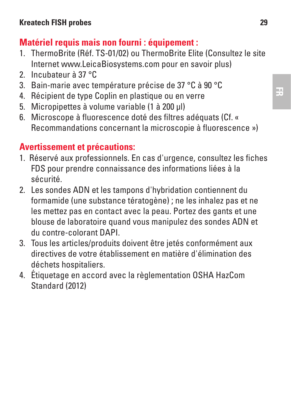# **Matériel requis mais non fourni : équipement :**

- 1. ThermoBrite (Réf. TS-01/02) ou ThermoBrite Elite (Consultez le site Internet www.LeicaBiosystems.com pour en savoir plus)
- 2. Incubateur à 37 °C
- 3. Bain-marie avec température précise de 37 °C à 90 °C
- 4. Récipient de type Coplin en plastique ou en verre
- 5. Micropipettes à volume variable (1 à 200 μl)
- 6. Microscope à fluorescence doté des filtres adéquats (Cf. « Recommandations concernant la microscopie à fluorescence »)

## **Avertissement et précautions:**

- 1. Réservé aux professionnels. En cas d'urgence, consultez les fiches FDS pour prendre connaissance des informations liées à la sécurité.
- 2. Les sondes ADN et les tampons d'hybridation contiennent du formamide (une substance tératogène) ; ne les inhalez pas et ne les mettez pas en contact avec la peau. Portez des gants et une blouse de laboratoire quand vous manipulez des sondes ADN et du contre-colorant DAPI.
- 3. Tous les articles/produits doivent être jetés conformément aux directives de votre établissement en matière d'élimination des déchets hospitaliers.
- 4. Étiquetage en accord avec la règlementation OSHA HazCom Standard (2012)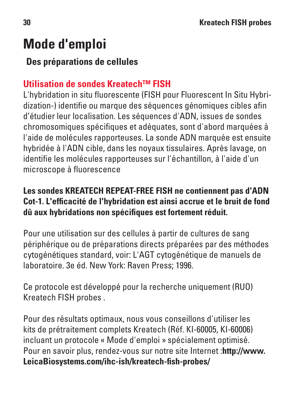# **Mode d'emploi**

## **Des préparations de cellules**

# **Utilisation de sondes Kreatech™ FISH**

L'hybridation in situ fluorescente (FISH pour Fluorescent In Situ Hybridization-) identifie ou marque des séquences génomiques cibles afin d'étudier leur localisation. Les séquences d'ADN, issues de sondes chromosomiques spécifiques et adéquates, sont d'abord marquées à l'aide de molécules rapporteuses. La sonde ADN marquée est ensuite hybridée à l'ADN cible, dans les noyaux tissulaires. Après lavage, on identifie les molécules rapporteuses sur l'échantillon, à l'aide d'un microscope à fluorescence

## **Les sondes KREATECH REPEAT-FREE FISH ne contiennent pas d'ADN Cot-1. L'efficacité de l'hybridation est ainsi accrue et le bruit de fond dû aux hybridations non spécifiques est fortement réduit.**

Pour une utilisation sur des cellules à partir de cultures de sang périphérique ou de préparations directs préparées par des méthodes cytogénétiques standard, voir: L'AGT cytogénétique de manuels de laboratoire. 3e éd. New York: Raven Press; 1996.

Ce protocole est développé pour la recherche uniquement (RUO) Kreatech FISH probes .

Pour des résultats optimaux, nous vous conseillons d'utiliser les kits de prétraitement complets Kreatech (Réf. KI-60005, KI-60006) incluant un protocole « Mode d'emploi » spécialement optimisé. Pour en savoir plus, rendez-vous sur notre site Internet :**http://www. LeicaBiosystems.com/ihc-ish/kreatech-fish-probes/**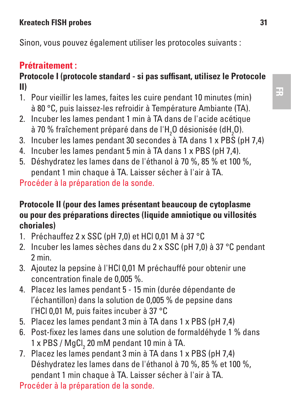#### **Kreatech FISH probes 31**

Sinon, vous pouvez également utiliser les protocoles suivants :

### **Prétraitement :**

#### **Protocole I (protocole standard - si pas suffisant, utilisez le Protocole II)**

- 1. Pour vieillir les lames, faites les cuire pendant 10 minutes (min) à 80 °C, puis laissez-les refroidir à Température Ambiante (TA).
- 2. Incuber les lames pendant 1 min à TA dans de l'acide acétique à 70 % fraîchement préparé dans de l'H<sub>2</sub>O désionisée (dH<sub>2</sub>O).
- 3. Incuber les lames pendant 30 secondes à TA dans 1 x PBS (pH 7,4)
- 4. Incuber les lames pendant 5 min à TA dans 1 x PBS (pH 7,4).
- 5. Déshydratez les lames dans de l'éthanol à 70 %, 85 % et 100 %, pendant 1 min chaque à TA. Laisser sécher à l'air à TA.

Procéder à la préparation de la sonde.

#### **Protocole II (pour des lames présentant beaucoup de cytoplasme ou pour des préparations directes (liquide amniotique ou villosités choriales)**

- 1. Préchauffez 2 x SSC (pH 7,0) et HCl 0,01 M à 37 °C
- 2. Incuber les lames sèches dans du 2 x SSC (pH 7,0) à 37 °C pendant 2 min.
- 3. Ajoutez la pepsine à l'HCl 0,01 M préchauffé pour obtenir une concentration finale de 0,005 %.
- 4. Placez les lames pendant 5 15 min (durée dépendante de l'échantillon) dans la solution de 0,005 % de pepsine dans l'HCl 0,01 M, puis faites incuber à 37 °C
- 5. Placez les lames pendant 3 min à TA dans 1 x PBS (pH 7,4)
- 6. Post-fixez les lames dans une solution de formaldéhyde 1 % dans 1 x PBS / MgCl<sub>2</sub> 20 mM pendant 10 min à TA.
- 7. Placez les lames pendant 3 min à TA dans 1 x PBS (pH 7,4) Déshydratez les lames dans de l'éthanol à 70 %, 85 % et 100 %, pendant 1 min chaque à TA. Laisser sécher à l'air à TA.

Procéder à la préparation de la sonde.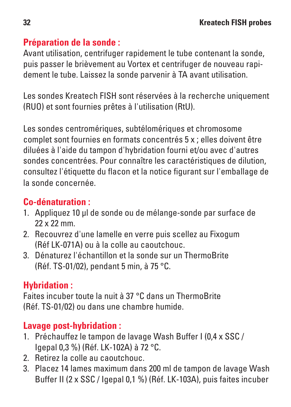## **Préparation de la sonde :**

Avant utilisation, centrifuger rapidement le tube contenant la sonde, puis passer le brièvement au Vortex et centrifuger de nouveau rapidement le tube. Laissez la sonde parvenir à TA avant utilisation.

Les sondes Kreatech FISH sont réservées à la recherche uniquement (RUO) et sont fournies prêtes à l'utilisation (RtU).

Les sondes centromériques, subtélomériques et chromosome complet sont fournies en formats concentrés 5 x ; elles doivent être diluées à l'aide du tampon d'hybridation fourni et/ou avec d'autres sondes concentrées. Pour connaître les caractéristiques de dilution, consultez l'étiquette du flacon et la notice figurant sur l'emballage de la sonde concernée.

# **Co-dénaturation :**

- 1. Appliquez 10 μl de sonde ou de mélange-sonde par surface de 22 x 22 mm.
- 2. Recouvrez d'une lamelle en verre puis scellez au Fixogum (Réf LK-071A) ou à la colle au caoutchouc.
- 3. Dénaturez l'échantillon et la sonde sur un ThermoBrite (Réf. TS-01/02), pendant 5 min, à 75 °C.

## **Hybridation :**

Faites incuber toute la nuit à 37 °C dans un ThermoBrite (Réf. TS-01/02) ou dans une chambre humide.

# **Lavage post-hybridation :**

- 1. Préchauffez le tampon de lavage Wash Buffer I (0,4 x SSC / Igepal 0,3 %) (Réf. LK-102A) à 72 °C.
- 2. Retirez la colle au caoutchouc.
- 3. Placez 14 lames maximum dans 200 ml de tampon de lavage Wash Buffer II (2 x SSC / Igepal 0,1 %) (Réf. LK-103A), puis faites incuber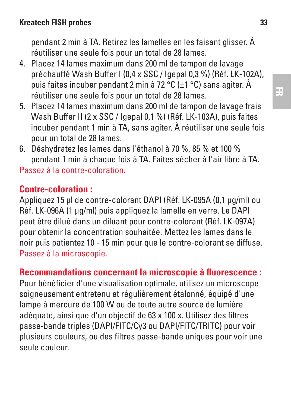pendant 2 min à TA. Retirez les lamelles en les faisant glisser. À réutiliser une seule fois pour un total de 28 lames.

- 4. Placez 14 lames maximum dans 200 ml de tampon de lavage préchauffé Wash Buffer I (0,4 x SSC / Igepal 0,3 %) (Réf. LK-102A), puis faites incuber pendant 2 min à 72 °C (±1 °C) sans agiter. À réutiliser une seule fois pour un total de 28 lames.
- 5. Placez 14 lames maximum dans 200 ml de tampon de lavage frais Wash Buffer II (2 x SSC / Igepal 0,1 %) (Réf. LK-103A), puis faites incuber pendant 1 min à TA, sans agiter. À réutiliser une seule fois pour un total de 28 lames.
- 6. Déshydratez les lames dans l'éthanol à 70 %, 85 % et 100 % pendant 1 min à chaque fois à TA. Faites sécher à l'air libre à TA. Passez à la contre-coloration.

# **Contre-coloration :**

Appliquez 15 μl de contre-colorant DAPI (Réf. LK-095A (0,1 μg/ml) ou Réf. LK-096A (1 μg/ml) puis appliquez la lamelle en verre. Le DAPI peut être dilué dans un diluant pour contre-colorant (Réf. LK-097A) pour obtenir la concentration souhaitée. Mettez les lames dans le noir puis patientez 10 - 15 min pour que le contre-colorant se diffuse. Passez à la microscopie.

# **Recommandations concernant la microscopie à fluorescence :**

Pour bénéficier d'une visualisation optimale, utilisez un microscope soigneusement entretenu et régulièrement étalonné, équipé d'une lampe à mercure de 100 W ou de toute autre source de lumière adéquate, ainsi que d'un objectif de 63 x 100 x. Utilisez des filtres passe-bande triples (DAPI/FITC/Cy3 ou DAPI/FITC/TRITC) pour voir plusieurs couleurs, ou des filtres passe-bande uniques pour voir une seule couleur.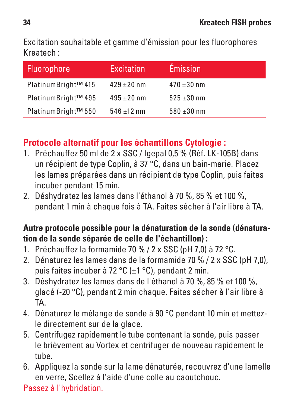Excitation souhaitable et gamme d'émission pour les fluorophores Kreatech :

| Fluorophore         | Excitation      | <b>Émission</b> |
|---------------------|-----------------|-----------------|
| PlatinumBright™ 415 | $429 + 20$ nm   | $470 + 30$ nm   |
| PlatinumBright™495  | $495 \pm 20$ nm | $525 + 30$ nm   |
| PlatinumBright™ 550 | $546 \pm 12$ nm | $580 \pm 30$ nm |

## **Protocole alternatif pour les échantillons Cytologie :**

- 1. Préchauffez 50 ml de 2 x SSC / Igepal 0,5 % (Réf. LK-105B) dans un récipient de type Coplin, à 37 °C, dans un bain-marie. Placez les lames préparées dans un récipient de type Coplin, puis faites incuber pendant 15 min.
- 2. Déshydratez les lames dans l'éthanol à 70 %, 85 % et 100 %, pendant 1 min à chaque fois à TA. Faites sécher à l'air libre à TA.

#### **Autre protocole possible pour la dénaturation de la sonde (dénaturation de la sonde séparée de celle de l'échantillon) :**

- 1. Préchauffez la formamide 70 % / 2 x SSC (pH 7,0) à 72 °C.
- 2. Dénaturez les lames dans de la formamide 70 % / 2 x SSC (pH 7,0), puis faites incuber à 72 °C (±1 °C), pendant 2 min.
- 3. Déshydratez les lames dans de l'éthanol à 70 %, 85 % et 100 %, glacé (-20 °C), pendant 2 min chaque. Faites sécher à l'air libre à TA.
- 4. Dénaturez le mélange de sonde à 90 °C pendant 10 min et mettezle directement sur de la glace.
- 5. Centrifugez rapidement le tube contenant la sonde, puis passer le brièvement au Vortex et centrifuger de nouveau rapidement le tube.
- 6. Appliquez la sonde sur la lame dénaturée, recouvrez d'une lamelle en verre, Scellez à l'aide d'une colle au caoutchouc.

Passez à l'hybridation.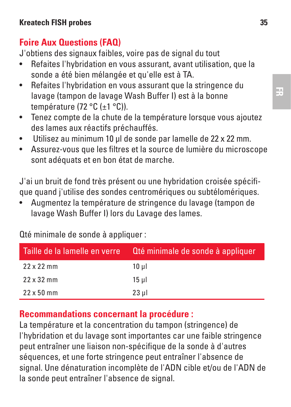# **Foire Aux Questions (FAQ)**

J'obtiens des signaux faibles, voire pas de signal du tout

- Refaites l'hybridation en vous assurant, avant utilisation, que la sonde a été bien mélangée et qu'elle est à TA.
- Refaites l'hybridation en vous assurant que la stringence du lavage (tampon de lavage Wash Buffer I) est à la bonne température (72 °C (±1 °C)).
- Tenez compte de la chute de la température lorsque vous ajoutez des lames aux réactifs préchauffés.
- Utilisez au minimum 10 μl de sonde par lamelle de 22 x 22 mm.
- Assurez-vous que les filtres et la source de lumière du microscope sont adéquats et en bon état de marche.

J'ai un bruit de fond très présent ou une hybridation croisée spécifique quand j'utilise des sondes centromériques ou subtélomériques.

• Augmentez la température de stringence du lavage (tampon de lavage Wash Buffer I) lors du Lavage des lames.

| Taille de la lamelle en verre | Qté minimale de sonde à appliquer |
|-------------------------------|-----------------------------------|
| $22 \times 22$ mm             | 10 ul                             |
| $22 \times 32$ mm             | 15 ul                             |
| $22 \times 50$ mm             | 23 ul                             |

Qté minimale de sonde à appliquer :

#### **Recommandations concernant la procédure :**

La température et la concentration du tampon (stringence) de l'hybridation et du lavage sont importantes car une faible stringence peut entraîner une liaison non-spécifique de la sonde à d'autres séquences, et une forte stringence peut entraîner l'absence de signal. Une dénaturation incomplète de l'ADN cible et/ou de l'ADN de la sonde peut entraîner l'absence de signal.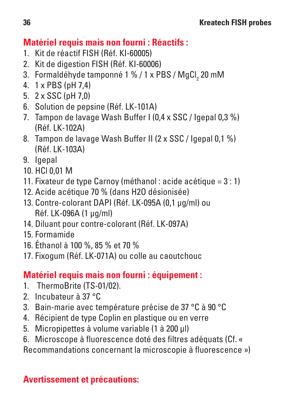## **Matériel requis mais non fourni : Réactifs :**

- 1. Kit de réactif FISH (Réf. KI-60005)
- 2. Kit de digestion FISH (Réf. KI-60006)
- 3. Formaldéhyde tamponné 1 % / 1 x PBS / MgCl<sub>2</sub> 20 mM
- 4. 1 x PBS (pH 7,4)
- 5. 2 x SSC (pH 7,0)
- 6. Solution de pepsine (Réf. LK-101A)
- 7. Tampon de lavage Wash Buffer I (0,4 x SSC / Igepal 0,3 %) (Réf. LK-102A)
- 8. Tampon de lavage Wash Buffer II (2 x SSC / Igepal 0,1 %) (Réf. LK-103A)
- 9. Igepal
- $10.$  HCL 0.01 M
- 11. Fixateur de type Carnoy (méthanol : acide acétique = 3 : 1)
- 12. Acide acétique 70 % (dans H2O désionisée)
- 13. Contre-colorant DAPI (Réf. LK-095A (0,1 μg/ml) ou Réf. LK-096A (1 μg/ml)
- 14. Diluant pour contre-colorant (Réf. LK-097A)
- 15. Formamide
- 16. Éthanol à 100 %, 85 % et 70 %
- 17. Fixogum (Réf. LK-071A) ou colle au caoutchouc

## **Matériel requis mais non fourni : équipement :**

- 1. ThermoBrite (TS-01/02).
- 2. Incubateur à 37 °C
- 3. Bain-marie avec température précise de 37 °C à 90 °C
- 4. Récipient de type Coplin en plastique ou en verre
- 5. Micropipettes à volume variable (1 à 200 μl)
- 6. Microscope à fluorescence doté des filtres adéquats (Cf. «
- Recommandations concernant la microscopie à fluorescence »)

## **Avertissement et précautions:**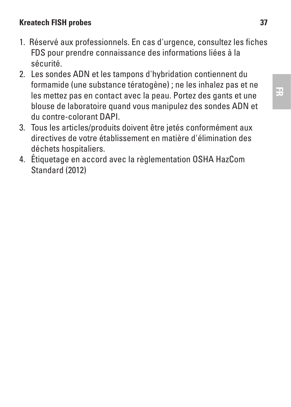#### **Kreatech FISH probes 37**

- 1. Réservé aux professionnels. En cas d'urgence, consultez les fiches FDS pour prendre connaissance des informations liées à la sécurité.
- 2. Les sondes ADN et les tampons d'hybridation contiennent du formamide (une substance tératogène) ; ne les inhalez pas et ne les mettez pas en contact avec la peau. Portez des gants et une blouse de laboratoire quand vous manipulez des sondes ADN et du contre-colorant DAPI.
- 3. Tous les articles/produits doivent être jetés conformément aux directives de votre établissement en matière d'élimination des déchets hospitaliers.
- 4. Étiquetage en accord avec la règlementation OSHA HazCom Standard (2012)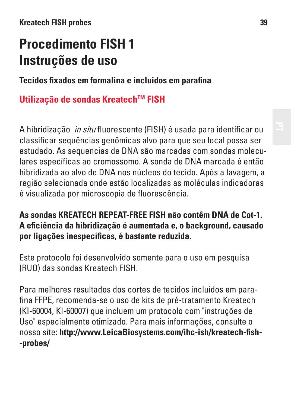# **Procedimento FISH 1 Instruções de uso**

**Tecidos fixados em formalina e incluidos em parafina**

# **Utilização de sondas KreatechTM FISH**

A hibridização in situ fluorescente (FISH) é usada para identificar ou classificar sequências genômicas alvo para que seu local possa ser estudado. As sequencias de DNA são marcadas com sondas moleculares específicas ao cromossomo. A sonda de DNA marcada é então hibridizada ao alvo de DNA nos núcleos do tecido. Após a lavagem, a região selecionada onde estão localizadas as moléculas indicadoras é visualizada por microscopia de fluorescência.

#### **As sondas KREATECH REPEAT-FREE FISH não contêm DNA de Cot-1. A eficiência da hibridização é aumentada e, o background, causado por ligações inespecíficas, é bastante reduzida.**

Este protocolo foi desenvolvido somente para o uso em pesquisa (RUO) das sondas Kreatech FISH.

Para melhores resultados dos cortes de tecidos incluídos em parafina FFPE, recomenda-se o uso de kits de pré-tratamento Kreatech (KI-60004, KI-60007) que incluem um protocolo com "instruções de Uso" especialmente otimizado. Para mais informações, consulte o nosso site: **http://www.LeicaBiosystems.com/ihc-ish/kreatech-fish- -probes/**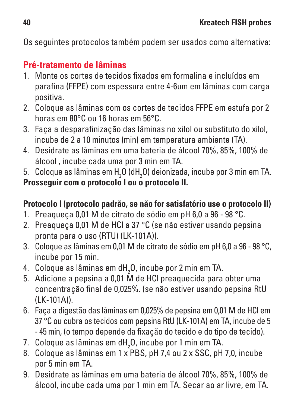Os seguintes protocolos também podem ser usados como alternativa:

# **Pré-tratamento de lâminas**

- 1. Monte os cortes de tecidos fixados em formalina e incluídos em parafina (FFPE) com espessura entre 4-6um em lâminas com carga positiva.
- 2. Coloque as lâminas com os cortes de tecidos FFPE em estufa por 2 horas em 80°C ou 16 horas em 56°C.
- 3. Faça a desparafinização das lâminas no xilol ou substituto do xilol, incube de 2 a 10 minutos (min) em temperatura ambiente (TA).
- 4. Desidrate as lâminas em uma bateria de álcool 70%, 85%, 100% de álcool , incube cada uma por 3 min em TA.
- 5.  $\,$  Coloque as lâminas em H $_{2}$ O (dH $_{2}$ O) deionizada, incube por 3 min em TA. **Prosseguir com o protocolo I ou o protocolo II.**

## **Protocolo I (protocolo padrão, se não for satisfatório use o protocolo II)**

- 1. Preaqueça 0,01 M de citrato de sódio em pH 6,0 a 96 98 °C.
- 2. Preaqueça 0,01 M de HCl a 37 °C (se não estiver usando pepsina pronta para o uso (RTU) (LK-101A)).
- 3. Coloque as lâminas em 0,01 M de citrato de sódio em pH 6,0 a 96 98 °C, incube por 15 min.
- 4.  $\,$  Coloque as lâminas em dH $_{2}$ O, incube por 2 min em TA.
- 5. Adicione a pepsina a 0,01 M de HCl preaquecida para obter uma concentração final de 0,025%. (se não estiver usando pepsina RtU  $(I K-101A)$
- 6. Faça a digestão das lâminas em 0,025% de pepsina em 0,01 M de HCl em 37 °C ou cubra os tecidos com pepsina RtU (LK-101A) em TA, incube de 5 - 45 min, (o tempo depende da fixação do tecido e do tipo de tecido).
- 7. Coloque as lâminas em dH<sub>2</sub>O, incube por 1 min em TA.
- 8. Coloque as lâminas em 1 x PBS, pH 7,4 ou 2 x SSC, pH 7,0, incube por 5 min em TA.
- 9. Desidrate as lâminas em uma bateria de álcool 70%, 85%, 100% de álcool, incube cada uma por 1 min em TA. Secar ao ar livre, em TA.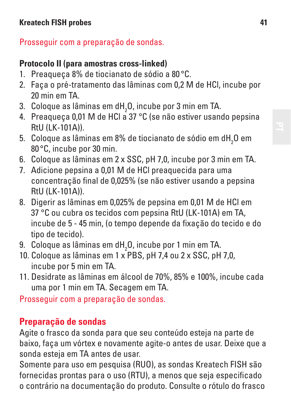## Prosseguir com a preparação de sondas.

## **Protocolo II (para amostras cross-linked)**

- 1. Preaqueça 8% de tiocianato de sódio a 80 °C.
- 2. Faça o pré-tratamento das lâminas com 0,2 M de HCl, incube por 20 min em TA.
- 3.  $\,$  Coloque as lâminas em dH $_{2}$ O, incube por 3 min em TA.
- 4. Preaqueça 0,01 M de HCl a 37 °C (se não estiver usando pepsina  $R$ tl $($ i $K$ -101 $\Delta$ )
- 5.  $\,$  Coloque as lâminas em 8% de tiocianato de sódio em d ${\rm H_2O}$  em 80 °C, incube por 30 min.
- 6. Coloque as lâminas em 2 x SSC, pH 7,0, incube por 3 min em TA.
- 7. Adicione pepsina a 0,01 M de HCl preaquecida para uma concentração final de 0,025% (se não estiver usando a pepsina RtU (LK-101A)).
- 8. Digerir as lâminas em 0,025% de pepsina em 0,01 M de HCl em 37 °C ou cubra os tecidos com pepsina RtU (LK-101A) em TA, incube de 5 - 45 min, (o tempo depende da fixação do tecido e do tipo de tecido).
- 9.  $\,$  Coloque as lâminas em dH $_{2}$ O, incube por 1 min em TA.
- 10. Coloque as lâminas em 1 x PBS, pH 7,4 ou 2 x SSC, pH 7,0, incube por 5 min em TA.
- 11. Desidrate as lâminas em álcool de 70%, 85% e 100%, incube cada uma por 1 min em TA. Secagem em TA.

Prosseguir com a preparação de sondas.

# **Preparação de sondas**

Agite o frasco da sonda para que seu conteúdo esteja na parte de baixo, faça um vórtex e novamente agite-o antes de usar. Deixe que a sonda esteja em TA antes de usar.

Somente para uso em pesquisa (RUO), as sondas Kreatech FISH são fornecidas prontas para o uso (RTU), a menos que seja especificado o contrário na documentação do produto. Consulte o rótulo do frasco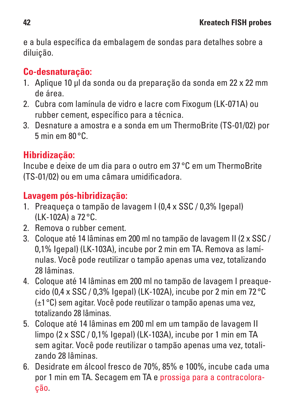e a bula específica da embalagem de sondas para detalhes sobre a diluição.

# **Co-desnaturação:**

- 1. Aplique 10 μl da sonda ou da preparação da sonda em 22 x 22 mm de área.
- 2. Cubra com lamínula de vidro e lacre com Fixogum (LK-071A) ou rubber cement, específico para a técnica.
- 3. Desnature a amostra e a sonda em um ThermoBrite (TS-01/02) por 5 min em 80 °C.

# **Hibridização:**

Incube e deixe de um dia para o outro em 37 °C em um ThermoBrite (TS-01/02) ou em uma câmara umidificadora.

# **Lavagem pós-hibridização:**

- 1. Preaqueça o tampão de lavagem I (0,4 x SSC / 0,3% Igepal) (LK-102A) a 72 °C.
- 2. Remova o rubber cement.
- 3. Coloque até 14 lâminas em 200 ml no tampão de lavagem II (2 x SSC / 0,1% Igepal) (LK-103A), incube por 2 min em TA. Remova as lamínulas. Você pode reutilizar o tampão apenas uma vez, totalizando 28 lâminas.
- 4. Coloque até 14 lâminas em 200 ml no tampão de lavagem I preaquecido (0,4 x SSC / 0,3% Igepal) (LK-102A), incube por 2 min em 72 °C (±1°C) sem agitar. Você pode reutilizar o tampão apenas uma vez, totalizando 28 lâminas.
- 5. Coloque até 14 lâminas em 200 ml em um tampão de lavagem II limpo (2 x SSC / 0,1% Igepal) (LK-103A), incube por 1 min em TA sem agitar. Você pode reutilizar o tampão apenas uma vez, totalizando 28 lâminas.
- 6. Desidrate em álcool fresco de 70%, 85% e 100%, incube cada uma por 1 min em TA. Secagem em TA e prossiga para a contracoloração.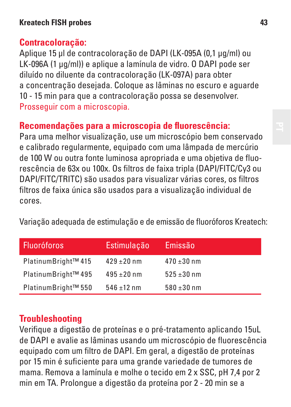## **Contracoloração:**

Aplique 15 μl de contracoloração de DAPI (LK-095A (0,1 μg/ml) ou LK-096A (1 μg/ml)) e aplique a lamínula de vidro. O DAPI pode ser diluído no diluente da contracoloração (LK-097A) para obter a concentração desejada. Coloque as lâminas no escuro e aguarde 10 - 15 min para que a contracoloração possa se desenvolver. Prosseguir com a microscopia.

## **Recomendações para a microscopia de fluorescência:**

Para uma melhor visualização, use um microscópio bem conservado e calibrado regularmente, equipado com uma lâmpada de mercúrio de 100 W ou outra fonte luminosa apropriada e uma objetiva de fluorescência de 63x ou 100x. Os filtros de faixa tripla (DAPI/FITC/Cy3 ou DAPI/FITC/TRITC) são usados para visualizar várias cores, os filtros filtros de faixa única são usados para a visualização individual de cores.

Variação adequada de estimulação e de emissão de fluoróforos Kreatech:

| <b>Fluoróforos</b>  | Estimulação     | Emissão         |
|---------------------|-----------------|-----------------|
| PlatinumBright™ 415 | $429 + 20$ nm   | $470 + 30$ nm   |
| PlatinumBright™ 495 | $495 \pm 20$ nm | $525 + 30$ nm   |
| PlatinumBright™ 550 | $546 + 12$ nm   | $580 \pm 30$ nm |

## **Troubleshooting**

Verifique a digestão de proteínas e o pré-tratamento aplicando 15uL de DAPI e avalie as lâminas usando um microscópio de fluorescência equipado com um filtro de DAPI. Em geral, a digestão de proteínas por 15 min é suficiente para uma grande variedade de tumores de mama. Remova a lamínula e molhe o tecido em 2 x SSC, pH 7,4 por 2 min em TA. Prolongue a digestão da proteína por 2 - 20 min se a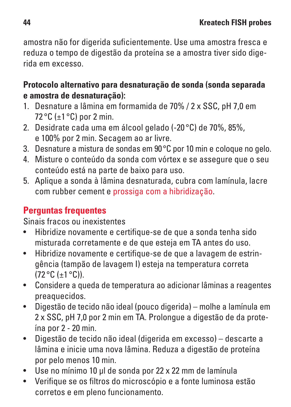amostra não for digerida suficientemente. Use uma amostra fresca e reduza o tempo de digestão da proteína se a amostra tiver sido digerida em excesso.

#### **Protocolo alternativo para desnaturação de sonda (sonda separada e amostra de desnaturação):**

- 1. Desnature a lâmina em formamida de 70% / 2 x SSC, pH 7,0 em 72 °C (±1 °C) por 2 min.
- 2. Desidrate cada uma em álcool gelado (-20 °C) de 70%, 85%, e 100% por 2 min. Secagem ao ar livre.
- 3. Desnature a mistura de sondas em 90°C por 10 min e coloque no gelo.
- 4. Misture o conteúdo da sonda com vórtex e se assegure que o seu conteúdo está na parte de baixo para uso.
- 5. Aplique a sonda à lâmina desnaturada, cubra com lamínula, lacre com rubber cement e prossiga com a hibridização.

## **Perguntas frequentes**

Sinais fracos ou inexistentes

- Hibridize novamente e certifique-se de que a sonda tenha sido misturada corretamente e de que esteja em TA antes do uso.
- Hibridize novamente e certifique-se de que a lavagem de estringência (tampão de lavagem I) esteja na temperatura correta (72 °C (±1 °C)).
- Considere a queda de temperatura ao adicionar lâminas a reagentes preaquecidos.
- Digestão de tecido não ideal (pouco digerida) molhe a lamínula em 2 x SSC, pH 7,0 por 2 min em TA. Prolongue a digestão de da proteína por 2 - 20 min.
- Digestão de tecido não ideal (digerida em excesso) descarte a lâmina e inicie uma nova lâmina. Reduza a digestão de proteína por pelo menos 10 min.
- Use no mínimo 10 μl de sonda por 22 x 22 mm de lamínula
- Verifique se os filtros do microscópio e a fonte luminosa estão corretos e em pleno funcionamento.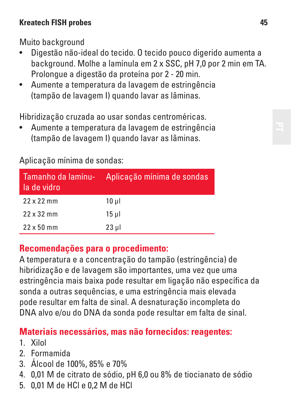#### **Kreatech FISH probes 45**

Muito background

- Digestão não-ideal do tecido. O tecido pouco digerido aumenta a background. Molhe a lamínula em 2 x SSC, pH 7,0 por 2 min em TA. Prolongue a digestão da proteína por 2 - 20 min.
- Aumente a temperatura da lavagem de estringência (tampão de lavagem I) quando lavar as lâminas.

Hibridização cruzada ao usar sondas centroméricas.

• Aumente a temperatura da lavagem de estringência (tampão de lavagem I) quando lavar as lâminas.

| Tamanho da lamínu-<br>la de vidro | Aplicação mínima de sondas |
|-----------------------------------|----------------------------|
| $22 \times 22$ mm                 | 10 ul                      |
| $22 \times 32$ mm                 | 15 ul                      |
| $22 \times 50$ mm                 | $23$ µ                     |

Aplicação mínima de sondas:

#### **Recomendações para o procedimento:**

A temperatura e a concentração do tampão (estringência) de hibridização e de lavagem são importantes, uma vez que uma estringência mais baixa pode resultar em ligação não específica da sonda a outras sequências, e uma estringência mais elevada pode resultar em falta de sinal. A desnaturação incompleta do DNA alvo e/ou do DNA da sonda pode resultar em falta de sinal.

## **Materiais necessários, mas não fornecidos: reagentes:**

- 1. Xilol
- 2. Formamida
- 3. Álcool de 100%, 85% e 70%
- 4. 0,01 M de citrato de sódio, pH 6,0 ou 8% de tiocianato de sódio
- 5. 0,01 M de HCl e 0,2 M de HCl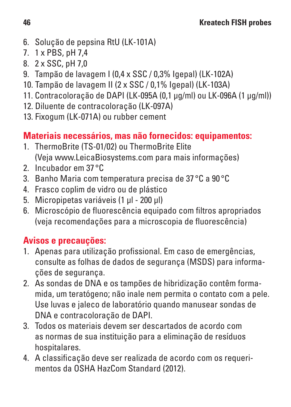- 6. Solução de pepsina RtU (LK-101A)
- 7. 1 x PBS, pH 7,4
- 8. 2 x SSC, pH 7,0
- 9. Tampão de lavagem I (0,4 x SSC / 0,3% Igepal) (LK-102A)
- 10. Tampão de lavagem II (2 x SSC / 0,1% Igepal) (LK-103A)
- 11. Contracoloração de DAPI (LK-095A (0,1 μg/ml) ou LK-096A (1 μg/ml))
- 12. Diluente de contracoloração (LK-097A)
- 13. Fixogum (LK-071A) ou rubber cement

## **Materiais necessários, mas não fornecidos: equipamentos:**

- 1. ThermoBrite (TS-01/02) ou ThermoBrite Elite (Veja www.LeicaBiosystems.com para mais informações)
- 2. Incubador em 37 °C
- 3. Banho Maria com temperatura precisa de 37 °C a 90 °C
- 4. Frasco coplim de vidro ou de plástico
- 5. Micropipetas variáveis (1 μl 200 μl)
- 6. Microscópio de fluorescência equipado com filtros apropriados (veja recomendações para a microscopia de fluorescência)

## **Avisos e precauções:**

- 1. Apenas para utilização profissional. Em caso de emergências, consulte as folhas de dados de segurança (MSDS) para informações de segurança.
- 2. As sondas de DNA e os tampões de hibridização contêm formamida, um teratógeno; não inale nem permita o contato com a pele. Use luvas e jaleco de laboratório quando manusear sondas de DNA e contracoloração de DAPI.
- 3. Todos os materiais devem ser descartados de acordo com as normas de sua instituição para a eliminação de resíduos hospitalares.
- 4. A classificação deve ser realizada de acordo com os requerimentos da OSHA HazCom Standard (2012).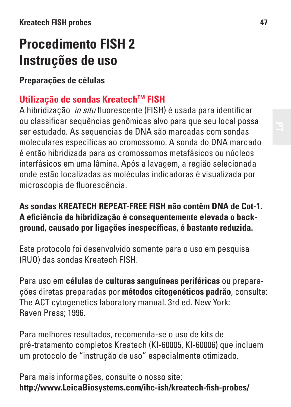# **Procedimento FISH 2 Instruções de uso**

**Preparações de células**

## **Utilização de sondas KreatechTM FISH**

A hibridização in situ fluorescente (FISH) é usada para identificar ou classificar sequências genômicas alvo para que seu local possa ser estudado. As sequencias de DNA são marcadas com sondas moleculares específicas ao cromossomo. A sonda do DNA marcado é então hibridizada para os cromossomos metafásicos ou núcleos interfásicos em uma lâmina. Após a lavagem, a região selecionada onde estão localizadas as moléculas indicadoras é visualizada por microscopia de fluorescência.

#### **As sondas KREATECH REPEAT-FREE FISH não contêm DNA de Cot-1. A eficiência da hibridização é consequentemente elevada o background, causado por ligações inespecíficas, é bastante reduzida.**

Este protocolo foi desenvolvido somente para o uso em pesquisa (RUO) das sondas Kreatech FISH.

Para uso em **células** de **culturas sanguíneas periféricas** ou preparações diretas preparadas por **métodos citogenéticos padrão**, consulte: The ACT cytogenetics laboratory manual. 3rd ed. New York: Raven Press; 1996.

Para melhores resultados, recomenda-se o uso de kits de pré-tratamento completos Kreatech (KI-60005, KI-60006) que incluem um protocolo de "instrução de uso" especialmente otimizado.

Para mais informações, consulte o nosso site: **http://www.LeicaBiosystems.com/ihc-ish/kreatech-fish-probes/**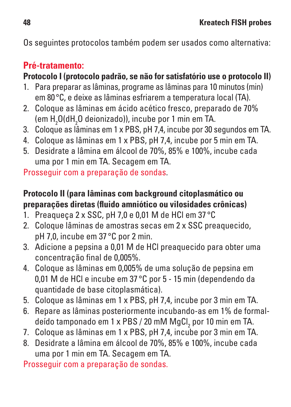Os seguintes protocolos também podem ser usados como alternativa:

## **Pré-tratamento:**

### **Protocolo I (protocolo padrão, se não for satisfatório use o protocolo II)**

- 1. Para preparar as lâminas, programe as lâminas para 10 minutos (min) em 80°C, e deixe as lâminas esfriarem a temperatura local (TA).
- 2. Coloque as lâminas em ácido acético fresco, preparado de 70% (em H<sub>2</sub>O(dH<sub>2</sub>O deionizado)), incube por 1 min em TA.
- 3. Coloque as lâminas em 1 x PBS, pH 7,4, incube por 30 segundos em TA.
- 4. Coloque as lâminas em 1 x PBS, pH 7,4, incube por 5 min em TA.
- 5. Desidrate a lâmina em álcool de 70%, 85% e 100%, incube cada uma por 1 min em TA. Secagem em TA.

Prosseguir com a preparação de sondas.

### **Protocolo II (para lâminas com background citoplasmático ou preparações diretas (fluido amniótico ou vilosidades crônicas)**

- 1. Preaqueça 2 x SSC, pH 7,0 e 0,01 M de HCl em 37 °C
- 2. Coloque lâminas de amostras secas em 2 x SSC preaquecido, pH 7,0, incube em 37 °C por 2 min.
- 3. Adicione a pepsina a 0,01 M de HCl preaquecido para obter uma concentração final de 0,005%.
- 4. Coloque as lâminas em 0,005% de uma solução de pepsina em 0,01 M de HCl e incube em 37 °C por 5 - 15 min (dependendo da quantidade de base citoplasmática).
- 5. Coloque as lâminas em 1 x PBS, pH 7,4, incube por 3 min em TA.
- 6. Repare as lâminas posteriormente incubando-as em 1% de formaldeído tamponado em 1 x PBS / 20 mM MgCl<sub>2</sub> por 10 min em TA.
- 7. Coloque as lâminas em 1 x PBS, pH 7,4, incube por 3 min em TA.
- 8. Desidrate a lâmina em álcool de 70%, 85% e 100%, incube cada uma por 1 min em TA. Secagem em TA.

Prosseguir com a preparação de sondas.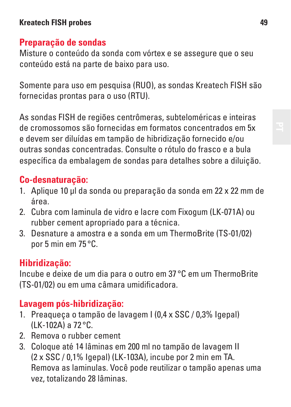#### **Kreatech FISH probes 49**

#### **Preparação de sondas**

Misture o conteúdo da sonda com vórtex e se assegure que o seu conteúdo está na parte de baixo para uso.

Somente para uso em pesquisa (RUO), as sondas Kreatech FISH são fornecidas prontas para o uso (RTU).

As sondas FISH de regiões centrômeras, subteloméricas e inteiras de cromossomos são fornecidas em formatos concentrados em 5x e devem ser diluídas em tampão de hibridização fornecido e/ou outras sondas concentradas. Consulte o rótulo do frasco e a bula específica da embalagem de sondas para detalhes sobre a diluição.

#### **Co-desnaturação:**

- 1. Aplique 10 μl da sonda ou preparação da sonda em 22 x 22 mm de área.
- 2. Cubra com laminula de vidro e lacre com Fixogum (LK-071A) ou rubber cement apropriado para a técnica.
- 3. Desnature a amostra e a sonda em um ThermoBrite (TS-01/02) por 5 min em 75 °C.

#### **Hibridização:**

Incube e deixe de um dia para o outro em 37 °C em um ThermoBrite (TS-01/02) ou em uma câmara umidificadora.

#### **Lavagem pós-hibridização:**

- 1. Preaqueça o tampão de lavagem I (0,4 x SSC / 0,3% Igepal) (LK-102A) a 72 °C.
- 2. Remova o rubber cement
- 3. Coloque até 14 lâminas em 200 ml no tampão de lavagem II (2 x SSC / 0,1% Igepal) (LK-103A), incube por 2 min em TA. Remova as laminulas. Você pode reutilizar o tampão apenas uma vez, totalizando 28 lâminas.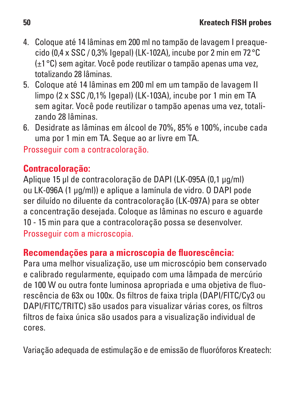- 4. Coloque até 14 lâminas em 200 ml no tampão de lavagem I preaquecido (0.4 x SSC / 0.3% Igenal) (LK-102A), incube por 2 min em 72 °C. (±1°C) sem agitar. Você pode reutilizar o tampão apenas uma vez, totalizando 28 lâminas.
- 5. Coloque até 14 lâminas em 200 ml em um tampão de lavagem II limpo (2 x SSC /0,1% Igepal) (LK-103A), incube por 1 min em TA sem agitar. Você pode reutilizar o tampão apenas uma vez, totalizando 28 lâminas.
- 6. Desidrate as lâminas em álcool de 70%, 85% e 100%, incube cada uma por 1 min em TA. Seque ao ar livre em TA.

Prosseguir com a contracoloração.

## **Contracoloração:**

Aplique 15 μl de contracoloração de DAPI (LK-095A (0,1 μg/ml) ou LK-096A (1 μg/ml)) e aplique a lamínula de vidro. O DAPI pode ser diluído no diluente da contracoloração (LK-097A) para se obter a concentração desejada. Coloque as lâminas no escuro e aguarde 10 - 15 min para que a contracoloração possa se desenvolver. Prosseguir com a microscopia.

#### **Recomendações para a microscopia de fluorescência:**

Para uma melhor visualização, use um microscópio bem conservado e calibrado regularmente, equipado com uma lâmpada de mercúrio de 100 W ou outra fonte luminosa apropriada e uma objetiva de fluorescência de 63x ou 100x. Os filtros de faixa tripla (DAPI/FITC/Cy3 ou DAPI/FITC/TRITC) são usados para visualizar várias cores, os filtros filtros de faixa única são usados para a visualização individual de cores.

Variação adequada de estimulação e de emissão de fluoróforos Kreatech: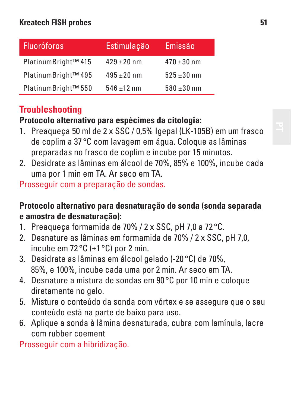| <b>Fluoróforos</b>  | Estimulação   | Emissão         |
|---------------------|---------------|-----------------|
| PlatinumBright™ 415 | $429 + 20$ nm | $470 + 30$ nm   |
| PlatinumBright™ 495 | $495 + 20$ nm | $525 + 30$ nm   |
| PlatinumBright™ 550 | $546 + 12$ nm | $580 \pm 30$ nm |

# **Troubleshooting**

#### **Protocolo alternativo para espécimes da citologia:**

- 1. Preaqueça 50 ml de 2 x SSC / 0,5% Igepal (LK-105B) em um frasco de coplim a 37 °C com lavagem em água. Coloque as lâminas preparadas no frasco de coplim e incube por 15 minutos.
- 2. Desidrate as lâminas em álcool de 70%, 85% e 100%, incube cada uma por 1 min em TA. Ar seco em TA.

Prosseguir com a preparação de sondas.

#### **Protocolo alternativo para desnaturação de sonda (sonda separada e amostra de desnaturação):**

- 1. Preaqueça formamida de 70% / 2 x SSC, pH 7,0 a 72 °C.
- 2. Desnature as lâminas em formamida de 70% / 2 x SSC, pH 7,0, incube em 72 °C (±1 °C) por 2 min.
- 3. Desidrate as lâminas em álcool gelado (-20 °C) de 70%, 85%, e 100%, incube cada uma por 2 min. Ar seco em TA.
- 4. Desnature a mistura de sondas em 90 °C por 10 min e coloque diretamente no gelo.
- 5. Misture o conteúdo da sonda com vórtex e se assegure que o seu conteúdo está na parte de baixo para uso.
- 6. Aplique a sonda à lâmina desnaturada, cubra com lamínula, lacre com rubber coement

Prosseguir com a hibridização.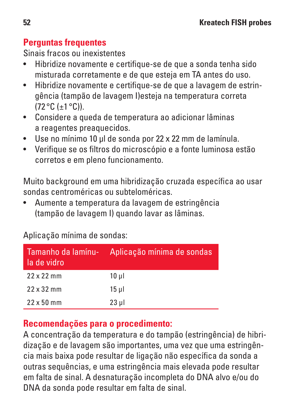## **Perguntas frequentes**

Sinais fracos ou inexistentes

- Hibridize novamente e certifique-se de que a sonda tenha sido misturada corretamente e de que esteja em TA antes do uso.
- Hibridize novamente e certifique-se de que a lavagem de estringência (tampão de lavagem I)esteja na temperatura correta  $(72°C (+1 °C))$
- Considere a queda de temperatura ao adicionar lâminas a reagentes preaquecidos.
- Use no mínimo 10 μl de sonda por 22 x 22 mm de lamínula.
- Verifique se os filtros do microscópio e a fonte luminosa estão corretos e em pleno funcionamento.

Muito background em uma hibridização cruzada específica ao usar sondas centroméricas ou subteloméricas.

• Aumente a temperatura da lavagem de estringência (tampão de lavagem I) quando lavar as lâminas.

Aplicação mínima de sondas:

| Tamanho da lamínu-<br>la de vidro | Aplicação mínima de sondas |
|-----------------------------------|----------------------------|
| 22x22mm                           | 10 ul                      |
| 22 x 32 mm                        | $15$ ul                    |
| $22 \times 50$ mm                 | $23$ µ                     |

## **Recomendações para o procedimento:**

A concentração da temperatura e do tampão (estringência) de hibridização e de lavagem são importantes, uma vez que uma estringência mais baixa pode resultar de ligação não específica da sonda a outras sequências, e uma estringência mais elevada pode resultar em falta de sinal. A desnaturação incompleta do DNA alvo e/ou do DNA da sonda pode resultar em falta de sinal.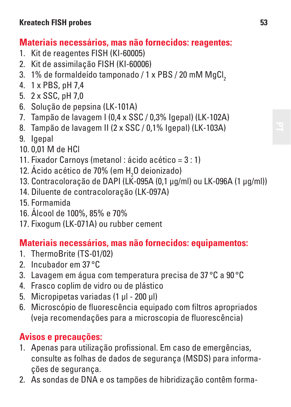## **Materiais necessários, mas não fornecidos: reagentes:**

- 1. Kit de reagentes FISH (KI-60005)
- 2. Kit de assimilação FISH (KI-60006)
- 3. 1% de formaldeído tamponado / 1 x PBS / 20 mM MgCl.
- 4. 1 x PBS, pH 7,4
- 5. 2 x SSC, pH 7,0
- 6. Solução de pepsina (LK-101A)
- 7. Tampão de lavagem I (0,4 x SSC / 0,3% Igepal) (LK-102A)
- 8. Tampão de lavagem II (2 x SSC / 0,1% Igepal) (LK-103A)
- 9. Igepal
- 10. 0,01 M de HCl
- 11. Fixador Carnoys (metanol : ácido acético = 3 : 1)
- 12. Acido acético de 70% (em H<sub>2</sub>O deionizado)
- 13. Contracoloração de DAPI (LK-095A (0,1 μg/ml) ou LK-096A (1 μg/ml))
- 14. Diluente de contracoloração (LK-097A)
- 15. Formamida
- 16. Álcool de 100%, 85% e 70%
- 17. Fixogum (LK-071A) ou rubber cement

## **Materiais necessários, mas não fornecidos: equipamentos:**

- 1. ThermoBrite (TS-01/02)
- 2. Incubador em 37 °C
- 3. Lavagem em água com temperatura precisa de 37 °C a 90 °C
- 4. Frasco coplim de vidro ou de plástico
- 5. Micropipetas variadas (1 μl 200 μl)
- 6. Microscópio de fluorescência equipado com filtros apropriados (veja recomendações para a microscopia de fluorescência)

## **Avisos e precauções:**

- 1. Apenas para utilização profissional. Em caso de emergências, consulte as folhas de dados de segurança (MSDS) para informações de segurança.
- 2. As sondas de DNA e os tampões de hibridização contêm forma-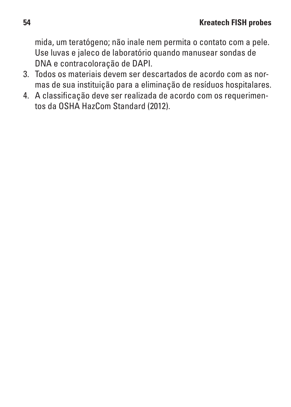mida, um teratógeno; não inale nem permita o contato com a pele. Use luvas e jaleco de laboratório quando manusear sondas de DNA e contracoloração de DAPI.

- 3. Todos os materiais devem ser descartados de acordo com as normas de sua instituição para a eliminação de resíduos hospitalares.
- 4. A classificação deve ser realizada de acordo com os requerimentos da OSHA HazCom Standard (2012).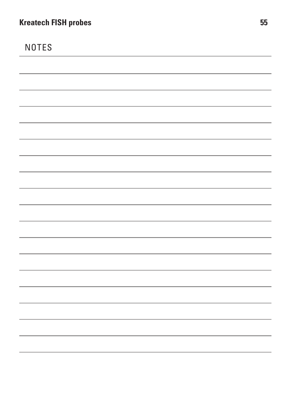NOTES

,我们也不会有什么。""我们的人,我们也不会有什么?""我们的人,我们也不会有什么?""我们的人,我们的人,我们的人,我们的人,我们的人,我们的人,我们的人,我 and the control of the control of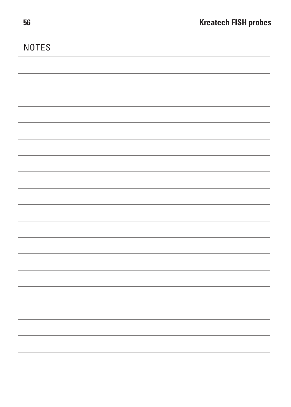NOTES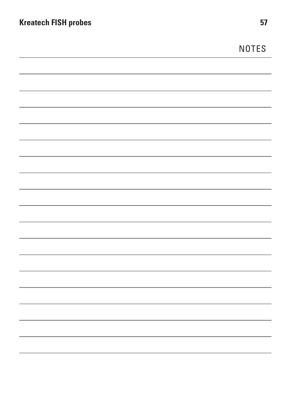| <b>Kreatech FISH probes</b> | 57           |
|-----------------------------|--------------|
|                             | <b>NOTES</b> |
|                             |              |
|                             |              |
|                             |              |
|                             |              |
|                             |              |
|                             |              |
|                             |              |
|                             |              |
|                             |              |
|                             |              |
|                             |              |
|                             |              |
|                             |              |
|                             |              |
|                             |              |
|                             |              |